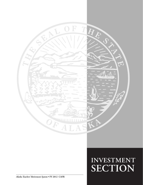

# **Investment SECTION**

*Alaska Teachers' Retirement System* **• FY 2012 CAFR**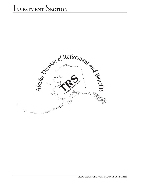# INVESTMENT SECTION

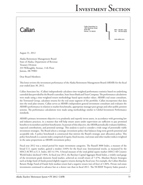# Callan

Callan Associates Inc 1660 Wynkoop Street Suite 950 Denver, CO 80202

Main 303.861.1900 303.832.8230

www.callan.com

August 31, 2012

Alaska Retirement Management Board State of Alaska, Department of Revenue Treasury Division 333 Willoughby Avenue, 11th Floor Juneau, AK 99801

Dear Board Members:

This letter reviews the investment performance of the Alaska Retirement Management Board (ARMB) for the fiscal year ended June 30, 2012.

Callan Associates Inc. (Callan) independently calculates time-weighted performance statistics based on underlying custodial data provided by the Board's custodian, State Street Bank and Trust Company. The performance calculations were made using a time-weighted return methodology based upon market values. ARMB's real estate consultant, the Townsend Group, calculates returns for the real estate segment of the portfolio. Callan incorporates that data into the total plan returns. Callan serves as ARMB's independent general investment consultant and evaluates the ARMB's performance in relation to market benchmarks, appropriate manager peer groups and other public pension systems. The performance calculations were made using methodology similar to Global Investment Performance standards.

ARMB's primary investment objective is to prudently and expertly invest assets, in accordance with governing law and industry practices, in a manner that will help ensure assets under supervision are sufficient to pay promised benefits to its members and their beneficiaries. In pursuit of this objective, the ARMB periodically evaluates liabilities, expected contributions, and potential earnings. This analysis is used to consider a wide range of potentially viable investment strategies. The Board selects a strategic investment policy that balances long-term growth potential and acceptable risk. A policy benchmark is constructed that mirrors the Board's strategic asset allocation policy. This policy benchmark is a custom index comprised of equity, fixed income, real estate and other market indices weighted in the same proportions as ARMB's investment policy.

Fiscal year 2012 was a mixed period for major investment categories. The Russell 3000 Index, a measure of the broad U.S. equity market, gained a modest 3.84% for the fiscal year. International stocks, as measured by the MSCI-ACWI ex-U.S. Index, fell 14.15%. A broad measure of the total global equity market (MSCI All Country World Index) declined 5.96%. In fiscal year 2012, the Barclays Capital Aggregate Bond Index, a widely used gauge of the investment grade domestic bond market, achieved an overall return of 7.47%. Absolute Return Strategies such as hedge fund-of-funds posted slightly negative returns during the fiscal year. For example, the Callan Absolute Return Hedge Fund-of-Funds Style median return had a negative return (net-of-fees) of 1.06%. Private real estate investments continued to advance but at a slower rate than in fiscal 2011. The NCREIF Property Index posted a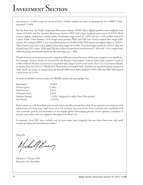very attractive 12.04% return for the fiscal 2012. Publicly traded real estate, as measured by the NAREIT Index, increased 12.48%.

For the fiscal year, the Public Employees Retirement System (PERS) had a slightly positive time-weighted total return of 0.46% and the Teachers Retirement System (TRS) had a time-weighted total return of 0.51%. Both Systems slightly trailed their strategic policy benchmark target return of 1.02% and the 1.16% median return for Callan's Public Fund database. Over longer-term periods, PERS and TRS have closely tracked their target index returns. For example, PERS' 3-year annualized return was 10.68% while TRS's return was slightly higher at 10.82%. These returns were close to but slightly below their target of 10.93%. Over the longest period for which Callan has detailed data (20 ¾ years), PERS and TRS have achieved annualized total returns of 7.36% and 7.41%, respectively, while the policy benchmark return for the same span was 7.40%.

Despite the low returns across most asset categories, differences in performance within asset categories were significant. For example, Treasury bonds (as measured by the Barclays Intermediate Treasury Index) had a positive return of 5.40% while the Barclay Government Long Index had a huge 31.42% total return. Non-U.S. Government Bonds, as measured by the Non-U.S. World Gov't Bond Index, returned 0.44%. Similarly the spread in equity returns was wide. Small cap stocks, as measured by the Russell 2000 Stock Index declined 2.08% while the S&P 500 enjoyed a total return of 5.45%.

In terms of absolute returns, results for ARMB's various asset groupings were:

| Real Assets     | 10.36%                                            |
|-----------------|---------------------------------------------------|
| Private Equity  | $9.44\%$                                          |
| Fixed Income    | 4.91%                                             |
| Domestic stocks | 1.81%                                             |
| Absolute Return | -1.28% * (adjusted to reflect Fiscal Year period) |
| Int'l Stocks    | $-13.67\%$                                        |

Both systems are well diversified and currently have asset allocation policies that, in our opinion, are consistent with achievement of a long-term "real" return of 4.5% or better. The current low level of interest rates combined with slow economic growth and uncertainty in the lengthy global deleveraging process, in our opinion, contribute to investor uncertainty that was apparent throughout the fiscal year.

In summary, fiscal 2012 was a volatile year for most major asset categories but one where there were only small returns for balanced investment portfolios.

Sincerely,

Michalf Henry

Michael J. O'Leary, CFA Executive Vice President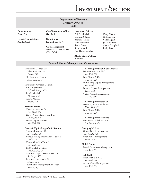# INVESTMENT SECTION

| <b>Department of Revenue</b><br><b>Treasury Division</b><br>Staff |                                                                 |                                                      |                                                  |  |
|-------------------------------------------------------------------|-----------------------------------------------------------------|------------------------------------------------------|--------------------------------------------------|--|
| Commissioner<br>Bryan Butcher                                     | <b>Chief Investment Officer</b><br>Gary Bader                   | <b>Investment Officers</b><br>Bob G. Mitchell        | Casey Colton                                     |  |
| <b>Deputy Commissioner</b><br>Angela Rodell                       | Comptroller<br>Pamela Leary, CPA                                | Stephen R. Sikes<br>Zachary Hanna<br>Steve Verschoor | Nicholas Orr<br>Victor Djajalie<br>Joy Wilkinson |  |
|                                                                   | <b>Cash Management</b><br>Michelle M. Prebula, MBA,<br>CPA, CCM | Shane Carson<br>Sean Howard<br>Paul Hackenmueller    | Alyson Campbell<br><b>Emily Peyton</b>           |  |
|                                                                   |                                                                 | <b>ARMB</b> Liaison Officer<br>Judy Hall             |                                                  |  |
|                                                                   | <b>External Money Managers and Consultants</b>                  |                                                      |                                                  |  |
| <b>Investment Consultants</b>                                     |                                                                 | <b>Domestic Equity Small Capitalization</b>          |                                                  |  |
| Callan Associates, Inc.                                           |                                                                 | Jennison Associates LLC                              |                                                  |  |
| Denver, CO                                                        |                                                                 | New York, NY                                         |                                                  |  |
| The Townsend Group                                                |                                                                 | Lord Abbett & Co.                                    |                                                  |  |
| San Francisco, CA                                                 |                                                                 | Jersey City, NJ                                      |                                                  |  |
|                                                                   |                                                                 | Luther King Capital Management                       |                                                  |  |
| <b>Investment Advisory Council</b>                                |                                                                 | Fort Worth, TX                                       |                                                  |  |
| William Jennings                                                  |                                                                 | Frontier Capital Management                          |                                                  |  |
| Colorado Springs, CO                                              |                                                                 | Boston, MA                                           |                                                  |  |
| Jerrold Mitchell                                                  |                                                                 | Victory Capital Management                           |                                                  |  |
| Wayland, MA                                                       |                                                                 | St. Louis, MO                                        |                                                  |  |
| George Wilson                                                     |                                                                 |                                                      |                                                  |  |
| Boston, MA                                                        |                                                                 | <b>Domestic Equity MicroCap</b>                      |                                                  |  |
|                                                                   |                                                                 | DePrince, Race & Zollo, Inc.                         |                                                  |  |
| <b>Absolute Return</b>                                            |                                                                 | Winter Park, FL                                      |                                                  |  |
| Crestline Investors, Inc.                                         |                                                                 | Lord Abbett & Co.                                    |                                                  |  |
| Fort Worth, TX                                                    |                                                                 | Jersey City, NJ                                      |                                                  |  |
| Global Assets Management Inc.                                     |                                                                 |                                                      |                                                  |  |
| Los Angeles, CA                                                   |                                                                 | <b>Domestic Equity Index Fund</b>                    |                                                  |  |
| Prisma Capital Partners                                           |                                                                 | State Street Global Advisors                         |                                                  |  |
| New York, NY                                                      |                                                                 | San Francisco, CA                                    |                                                  |  |
|                                                                   |                                                                 |                                                      |                                                  |  |
| <b>Domestic Equity Large Capitalization</b>                       |                                                                 | <b>Emerging Markets</b>                              |                                                  |  |
| Analytic Investors LLC                                            |                                                                 | Capital Guardian Trust Co.                           |                                                  |  |
| Los Angeles, CA                                                   |                                                                 | Los Angeles, CA                                      |                                                  |  |
| Barrow, Hanley, Mewhinney & Strauss                               |                                                                 | Eaton Vance Management                               |                                                  |  |
| Dallas, TX                                                        |                                                                 | Boston, MA                                           |                                                  |  |
| Capital Guardian Trust Co.                                        |                                                                 |                                                      |                                                  |  |
| Los Angeles, CA                                                   |                                                                 | <b>Global Equity</b>                                 |                                                  |  |
| <b>RCM</b> Global Investors                                       |                                                                 | Lazard Freres Asset Management                       |                                                  |  |
| San Francisco, CA                                                 |                                                                 | New York, NY                                         |                                                  |  |
| McKinley Capital Management, Inc.                                 |                                                                 |                                                      |                                                  |  |
| Anchorage, AK                                                     |                                                                 | <b>High Yield</b>                                    |                                                  |  |
| Relational Investors LLC                                          |                                                                 | MacKay Shields LLC                                   |                                                  |  |
| San Diego, CA                                                     |                                                                 | New York, NY                                         |                                                  |  |
| Quantitative Management Associates                                |                                                                 | Advent Capital Management                            |                                                  |  |
| Newark, NJ                                                        |                                                                 | New York, NY                                         |                                                  |  |
|                                                                   |                                                                 |                                                      |                                                  |  |
|                                                                   |                                                                 |                                                      |                                                  |  |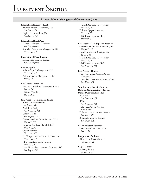#### **External Money Managers and Consultants (cont.)**

#### **International Equity – EAFE**

Brandes Investment Partners, L.P. *San Diego, CA* Capital Guardian Trust Co. *Los Angeles, CA*

#### **International Small Cap**

Mondrian Investment Partners *London, England* Schroders Investment Management NA *New York, NY*

#### **International Fixed Income**

Mondrian Investment Partners *London, England*

#### **Private Equity**

Abbott Capital Management, L.P. *New York, NY* Pathway Capital Management, LLC *Irvine, CA*

#### **Real Assets – Farmland**

Hancock Agricultural Investment Group *Boston, MA* UBS AgriVest, LLC *Hartford, CT*

#### **Real Assets – Commingled Funds**

Almanac Realty Investors *Alpharetta, GA* BlackRock Realty *San Francisco, CA* Colony Capital *Los Angeles, CA* Cornerstone Real Estate Advisers, LLC *Hartford, CT* Coventry Real Estate Fund II, LLC *New York, NY* Clarion Partners *New York, NY* J.P. Morgan Investment Management Inc. *New York, NY* Silverpeake Real Estate Partners *New York, NY* Lowe Hospitality Investment Partners, LLC *Los Angeles, CA*

Sentinel Real Estate Corporation *New York, NY* Tishman Speyer Properties *New York NY* UBS Realty Investors, LLC *Hartford, CT*

#### **Real Assets – Core Separate Accounts**

Cornerstone Real Estate Advisers, Inc. *Hartford, CT* LaSalle Investment Management *Chicago, IL* Sentinel Real Estate Corporation *New York, NY* UBS Realty Investors, LLC *San Francisco, CA*

#### **Real Assets – Timber**

Hancock Timber Resource Group *Charlotte, NC* Timberland Investment Resources LLC *Brookline, MA*

#### **Supplemental Benefits System,**

**Deferred Compensation Plan and Defined Contribution Plan** BlackRock

*San Francisco, CA* RCM *San Francisco, CA* State Street Global Advisors *Boston, MA* T. Rowe Price Investment Services *Baltimore, MD* Brandes Investment Partners *San Diego, CA* 

#### **Global Master Custodian**

State Street Bank & Trust Co. *Boston, MA*

#### **Independent Auditors** KPMG Peat Marwick, LLP *Anchorage, AK*

# **Legal Counsel**

Robert Johnson *Anchorage, AK*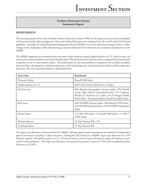### **Teachers' Retirement System Investment Report**

#### **INVESTMENTS**

The investment goals of the State of Alaska Teachers' Retirement System (TRS) are the long term return and sustainability of the pension funds under management. Near-term market fluctuations are integrated into the overall outlook of the fund guidelines. Annually, the Alaska Retirement Management Board (ARMB) sets its asset allocation strategy in order to reflect changes in the marketplace while still retaining an optimal risk/return level within the set constraints and objectives of the ARMB.

The ARMB categorizes its investments into seven asset classes: domestic equities, global equities ex-U.S., fixed income, real assets, private equity, absolute return and cash equivalents. The performance of each asset class is compared with a benchmark comprised of one or more market indices. The performance for the total portfolio is compared with its policy portfolio, determined by calculating the weighted performance of the underlying asset class benchmarks at the portfolio's target asset allocation. The asset class benchmarks are illustrated below:

| <b>Asset Class</b>      | <b>Benchmark</b>                                                                                                                                                                                                            |
|-------------------------|-----------------------------------------------------------------------------------------------------------------------------------------------------------------------------------------------------------------------------|
| Domestic Equity         | Russell 3000 Index                                                                                                                                                                                                          |
| Global Equities Ex-U.S. | MSCI All Country World Ex-U.S. Index                                                                                                                                                                                        |
| Fixed Income            | 80% Barclays Intermediate Treasury Index, 10% Merrill<br>Lynch High Yield II Constrained Index, 7% Citigroup<br>World Gov. Bond Ex-U.S. Index, 3% JP Morgan Global<br>Bond Index - Emerging Markets Broad Diversified Index |
| Real Assets             | 60% NCREIF Property Index, 20% Barclays TIPS Index,<br>10% NCREIF Farmland Index, 10% NCREIF Timberland<br>Index                                                                                                            |
| Private Equity          | 1/3 S&P 500 Index, 1/3 Russell 2000 Index, 1/3 MSCI<br><b>EAFE</b> Index                                                                                                                                                    |
| Absolute Return         | 91 Day Treasury Bill + 5%                                                                                                                                                                                                   |
| Cash Equivalents        | 91 Day Treasury Bill                                                                                                                                                                                                        |

The target asset allocation is determined by the ARMB, utilizing capital market assumptions provided by its independent general investment consultant, Callan Associates. During the 2012 fiscal year, ARMB's target asset allocation was 27% domestic equities, 23% global equities ex-U.S., 18% fixed income, 16% real assets, 8% private equity, 6% absolute return, and 2% cash equivalents. The target asset allocation was expected to generate a return of 7.45% with a standard deviation of returns of 13.82%.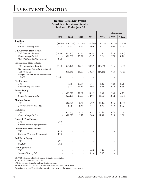# INVESTMENT SECTION

| <b>Teachers' Retirement System</b><br><b>Schedule of Investment Results</b><br><b>Fiscal Years Ended June 30</b>      |                                     |                     |                |                |                |                |                |
|-----------------------------------------------------------------------------------------------------------------------|-------------------------------------|---------------------|----------------|----------------|----------------|----------------|----------------|
|                                                                                                                       |                                     |                     |                |                |                | Annualized     |                |
|                                                                                                                       | 2008                                | 2009                | 2010           | 2011           | 2012           | 3 Year         | 5 Year         |
| <b>Total Fund</b><br><b>TRS</b><br>Actuarial Earnings Rate                                                            | $(3.05\%)$<br>8.25                  | $(20.62\%)$<br>8.25 | 11.58%<br>8.25 | 21.40%<br>8.00 | 0.51%<br>8.00  | 10.82%<br>8.00 | 0.90%<br>8.00  |
| <b>U.S. Common Stock Returns</b><br>TRS Domestic Equities<br>Custom Composite Index<br>S&P 500/Russell 2000 Composite | (13.53)<br>(13.68)                  | (26.80)<br>(26.56)  | 15.47<br>15.72 | 33.38<br>32.37 | 1.83<br>3.84   | 16.19<br>16.73 | (0.15)<br>0.16 |
| <b>International Stock Returns</b>                                                                                    |                                     |                     |                |                |                |                |                |
| TRS International Equities<br>Morgan Stanley Capital International                                                    | (7.48)                              | (29.12)             | 12.03          | 28.27          | (13.66)        | 7.46           | (4.04)         |
| ACWI ex-US<br>Morgan Stanley Capital International<br>EAFE                                                            | $\overline{\phantom{a}}$<br>(10.61) | (30.54)             | 10.87          | 30.27          | (14.15)        | 7.43<br>-      | (4.70)         |
| <b>Fixed Income</b><br><b>TRS</b><br>Custom Composite Index                                                           | $\overline{a}$<br>$\overline{a}$    | 3.36<br>5.41        | 11.35<br>10.16 | 5.55<br>5.06   | 4.82<br>5.08   | 7.20<br>6.74   | 6.28<br>6.59   |
| <b>Private Equity</b>                                                                                                 |                                     |                     |                |                |                |                |                |
| <b>TRS</b><br>Custom Composite Index                                                                                  | $\frac{1}{2}$<br>$\overline{a}$     | (23.67)<br>(27.19)  | 18.87<br>13.87 | 20.12<br>32.93 | 9.44<br>(3.61) | 16.05<br>13.42 | 6.19<br>(1.63) |
| <b>Absolute Return</b><br><b>TRS</b><br>3-month Treasury Bill +5%                                                     | $\overline{\phantom{m}}$            | (12.52)<br>5.95     | 6.60<br>5.16   | 5.99<br>5.16   | (2.05)<br>5.06 | 3.44<br>5.12   | (0.34)<br>5.93 |
| <b>Real Assets</b><br><b>TRS</b><br>Custom Composite Index                                                            | $\frac{1}{2}$<br>$\frac{1}{2}$      | (21.20)<br>(10.82)  | 0.06<br>1.17   | 15.51<br>12.66 | 10.45<br>11.41 | 8.40<br>8.29   | 1.00<br>3.88   |
| <b>Domestic Fixed-Income</b><br><b>TRS</b><br>Lehman Brothers Aggregate Index                                         | 6.50<br>7.12                        |                     |                |                |                | -              |                |
| <b>International Fixed-Income</b><br><b>TRS</b><br>Citigroup Non-U.S. Government                                      | 18.95<br>18.72                      |                     |                |                |                |                |                |
| <b>Real Estate Equity</b><br><b>TRS</b><br><b>NCREIF</b>                                                              | 5.71<br>6.82                        |                     |                |                |                |                |                |
| <b>Cash Equivalents</b><br><b>TRS</b><br>3-month Treasury Bill                                                        | $\overline{\phantom{m}}$            |                     | -              | 0.46<br>0.16   | 0.42<br>0.06   |                |                |

S&P 500 = Standard & Poor's Domestic Equity Stock Index

ACWI = Alll Country World Index

EAFE = Europe, Australia, and Far East Stock Index

NCREIF = National Council of Real Estate Investment Fiduciaries Index

Basis of calculation: Time-Weighed rate of return based on the market rate of return.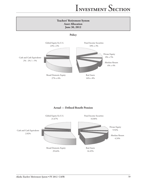

**Policy**



#### **Actual — Defined Benefit Pension**

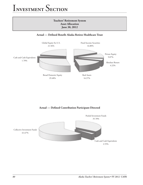

### **Actual — Defined Contribution Participant Directed**

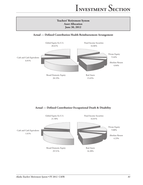# **Teachers' Retirement System Asset Allocation June 30, 2012**

**Actual — Defined Contribution Health Reimbursement Arrangement**



**Actual — Defined Contribution Occupational Death & Disability**

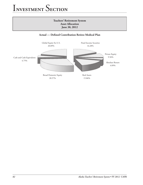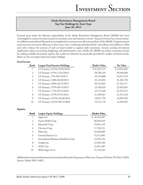### **Alaska Retirement Management Board Top Ten Holdings by Asset Type June 30, 2012**

Invested assets under the fiduciary responsibility of the Alaska Retirement Management Board (ARMB) have been commingled in various investment pools to minimize costs and maximize returns. Treasury Division has created twentytwo different mutual fund-like pools to accomplish the investment asset allocation policies of the ARMB. Using investment pools increases investment efficiency in three ways. First, combining individual funds' cash inflows and outflows to offset each other reduces the amount of cash on hand needed to support daily operations. Second, pooling investments significantly reduces accounting, budgeting, and administrative costs. Finally, the ARMB can achieve economies of scale by making available investment options that could not otherwise be practically provided for smaller retirement funds. Below are the ten largest bond and equity holdings.

#### **Fixed Income**

| Rank           | <b>Largest Fixed Income Holdings</b> | <b>Market Value</b> | Par Value    |
|----------------|--------------------------------------|---------------------|--------------|
|                | US Treasury 2.625% 02/29/2016        | \$81,824,157        | \$76,032,602 |
| 2              | US Treasury .875% 12/31/2016         | 38,786,259          | 38,440,906   |
| 3              | US Treasury .75% 09/15/2013          | 35,214,088          | 35,015,759   |
| $\overline{4}$ | US Treasury 1.00% 06/30/2019         | 35,123,892          | 35,383,750   |
| 5              | US Treasury 4.00% 02/15/2015         | 30,122,692          | 27,542,711   |
| 6              | US Treasury .375% 06/15/2015         | 23,183,024          | 23,202,965   |
| 7              | US Treasury 1.75% 05/15/2022         | 22,715,448          | 22,532,372   |
| 8              | US Treasury .375% 07/31/2013         | 21,498,561          | 21,472,558   |
| 9              | US Treasury 1.875% 02/28/2014        | 18,871,756          | 18,399,550   |
| 10             | US Treasury 2.625% 08/15/2020        | 15,511,170          | 14,094,055   |

#### **Equities**

| Rank | <b>Largest Equity Holdings</b>        | <b>Market Value</b> |
|------|---------------------------------------|---------------------|
| 1    | Apple Inc.                            | \$44,424,387        |
| 2    | Exxon Mobil Corp.                     | 28,036,659          |
| 3    | Microsoft Corp.                       | 19,041,419          |
| 4    | Chevron Corp.                         | 17,783,521          |
| 5    | Pfizer Inc.                           | 16,509,889          |
| 6    | General Electric Co.                  | 15,313,885          |
| 7    | International Business Machines Corp. | 13,955,132          |
| 8    | Google Inc.                           | 13,946,160          |
| 9    | AT&T Inc.                             | 12,841,385          |
| 10   | Wells Fargo & Co.                     | 12,718,426          |

Additional investment information may be obtained from the Department of Revenue, Treasury Division, P.O. Box 110405, Juneau, Alaska 99811-0405.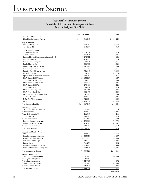### **Teachers' Retirement System Schedule of Investment Management Fees Year Ended June 30, 2012**

|                                                                     | Total Fair Value               | Fees               |
|---------------------------------------------------------------------|--------------------------------|--------------------|
| <b>International Fixed Income</b><br>* Mondrian Investment Partners | \$                             | \$<br>421,420      |
|                                                                     | 107,916,046                    |                    |
| High Yield Pool<br>* Mackay Shields, LLC                            |                                | 560,968            |
| Total High Yield                                                    | 127, 158, 247<br>127, 158, 247 | 560,968            |
|                                                                     |                                |                    |
| <b>Domestic Equity Pools</b><br>** Relational Investors             | 69,614,551                     | 709,270            |
| * Advent Capital                                                    | 32,765,895                     | 193,196            |
| * Barrow, Hanley, Mewhinney & Strauss, INC                          | 71,472,911                     | 364,184            |
| * Jennison Associates LLC                                           | 36,419,186                     | 291,010            |
| * Lazard Asset Management                                           | 85,937,005                     | 266,516            |
| * Lord Abbett & Co.                                                 | 58,586,902                     | 485,343            |
| * Luther King Cap. Management                                       | 37,287,919                     | 195,690            |
| * Victory Capital Management                                        | 20,866,767                     | 25,011             |
| * Frontier Capital Management                                       | 32,650,149                     | 177,125            |
| * McKinley Capital                                                  | 94,069,379                     | 339,678            |
| * Quantitative Management Associates<br>* SSgA Russell 1000 Growth  | 41,159,239                     | 151,416<br>31,687  |
| * SSgA Russell 1000 Value                                           | 221,138,807<br>273,354,698     | 39,288             |
| * SSgA Russell 2000 Growth                                          | 3,295,026                      | 4,525              |
| * SSgA Russell 2000 Value                                           | 3,490,498                      | 8,226              |
| * SSgA Russell 200                                                  | 113,634,081                    | 15,976             |
| * SSgA Futures Large Cap                                            | 2,571,355                      | 4,307              |
| * SSgA Future Small Cap                                             | 1,828,437                      | 3,235              |
| * DePrince, Race & Zollo Inc.-Micro Cap                             | 21,047,370                     | 239,686            |
| * Analytic Buy Write Account                                        | 32,404,109                     | 53,323             |
| * RCM Buy Write Account                                             | 28,644,824                     | 146,065            |
| $*$ RCM                                                             | 100,428,739                    | 317,124            |
| <b>Total Domestic Equities</b>                                      | 1,382,667,847                  | 4,061,881          |
| <b>Private Equity Pool</b>                                          |                                |                    |
| ** BlumCapital Partners-Strategic                                   | 4,567,476                      | 89,626             |
| ** Warburg Pincus X                                                 | 8,400,699                      | 129,323            |
| ** Angelo Gordon & Co.<br>** Onex Partners                          | 7,264,947                      | 125,216            |
| ** Lexington Partners                                               | 3,186,175<br>10,211,846        | 117,215<br>234,909 |
| * Pathway Capital Management                                        | 215,293,168                    | 766,773            |
| * Abbott Capital Management                                         | 212,428,216                    | 695,787            |
| ** Merit Capital Partners                                           | 2,227,786                      | 97,069             |
| Total Private Equities                                              | 463,580,313                    | 2,255,918          |
| <b>International Equity Pools</b>                                   |                                |                    |
| * SSgA                                                              | 138,670,472                    | 79,912             |
| * Brandes Investment Partners                                       | 210,388,914                    | 833,107            |
| Capital Guardian Trust Co.                                          | 162,711,250                    | 590,938            |
| * McKinley Capital Mgmt.                                            | 86,245,799                     | 449,228            |
| * Lazard Freres                                                     | 104,711,253                    | 154,852            |
| * Mondrian Investment Partners                                      | 32,124,829                     | 243,448            |
| * Schroder Investment Management                                    | 30,102,503                     | 259,126            |
| Total International Equities                                        | 764,955,020                    | 2,610,611          |
| <b>Absolute Return Pool</b>                                         |                                |                    |
| ** Mariner Investment Group                                         | 41,037,443                     | 466,893            |
| ** Cadogan Management LLC<br>** Crestline Investors Inc.            | 27,050<br>73,325,306           | 571,892            |
| ** Global Asset Management                                          | 41,702,448                     | 350,949            |
| ** Prisma Capital Partners                                          | 42,243,504                     | 358,444            |
| Total Absolute Return                                               | 198, 335, 751                  | 1,748,178          |
|                                                                     |                                | (continued)        |
|                                                                     |                                |                    |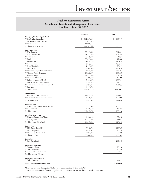### **Teachers' Retirement System Schedule of Investment Management Fees (cont.) Year Ended June 30, 2012**

|                                                                 | <b>Fair Value</b>        | Fees               |
|-----------------------------------------------------------------|--------------------------|--------------------|
| <b>Emerging Markets Equity Pool</b>                             |                          |                    |
| ** The Capital Group Inc.                                       | \$<br>101,365,438        | \$<br>686,915      |
| ** Lazard Freres Asset Managers<br>** Eaton Vance               | 90,617,874<br>55,960,148 |                    |
| <b>Total Emerging Markets</b>                                   | 247,943,460              | 686,915            |
|                                                                 |                          |                    |
| <b>Real Estate Pool</b>                                         |                          |                    |
| ** JPM Strategic                                                | 57,519,660               | 361,804            |
| ** UBS Consolidated                                             | 21,157,880               | 104,289            |
| ** Cornerstone<br>** Lasalle                                    | 26,115,408               | 271,534            |
| ** Sentinel, SA                                                 | 58,695,029<br>31,418,783 | 419,088            |
| ** UBS Separate                                                 | 73,213,545               | 180,013<br>438,344 |
| ** Lowe Hospitality                                             | 1,519,475                | 23,035             |
| ** ING Clarion                                                  | 6,503,959                | 170,629            |
| ** Silverpeak Legacy Pension Partners                           | 23,544,894               | 338,251            |
| ** Almanac Realty Securities                                    | 18,268,575               | 166,607            |
| ** Tishman Speyer                                               | 24,312,800               | 307,734            |
| ** BlackRock Diamond                                            | 6,709,320                | 16,195             |
| ** Colony Investors VIII, L.P.                                  | 5,531,472                | 180,734            |
| ** LaSalle Medical Office Fund II                               | 6,233,819                | 97,311             |
| ** Cornerstone Apartment Venture III                            | 8,652,712                | 105,037            |
| ** Coventry                                                     | 4,943,789                |                    |
| <b>Total Real Estate</b>                                        | 374,341,120              | 3,180,605          |
|                                                                 |                          |                    |
| <b>Timber Pool</b><br>** Timberland INVT Resources              | 42,813,247               | 292,081            |
| ** Hancock Natural Resource Group                               | 23,178,841               | 190,609            |
| Total Timber Pool                                               | 65,992,088               | 482,690            |
|                                                                 |                          |                    |
| <b>Farmland Pool</b><br>** Hancock Agriculture Investment Group | 65,272,645               | 496,512            |
| ** UBS Agrivest                                                 | 104,345,120              | 756,784            |
| Total Farmland                                                  | 169,617,765              | 1,253,296          |
|                                                                 |                          |                    |
| <b>Farmland Water Pool</b><br>** Hancock Farmland & Water       | 4,436,188                | 35,610             |
| ** UBS Agrivest                                                 | 10,211,401               | 81,082             |
|                                                                 |                          |                    |
| Total Farmland Water Pool                                       | 14,647,589               | 116,692            |
| <b>Energy Pool</b>                                              |                          |                    |
| ** EIG Energy Fund XV                                           | 7,748,704                | 128,767            |
| ** EIG Energy Fund XD<br>** EIG Energy Fund XIV-A               | 2,859,017                | 40,728             |
|                                                                 | 22,852,878               | 296,789            |
| Total Energy Pool                                               | 33,460,599               | 466,284            |
| Custodian<br>State Street Bank                                  |                          | 285,840            |
| <b>Investment Advisory</b>                                      |                          |                    |
| * Townsend Group                                                |                          | 28,596             |
| * Callan Associates                                             |                          | 30,830             |
| * Investment Advisory Council                                   |                          | 8,833              |
| <b>Total Investment Advisory</b>                                |                          | 68,259             |
| <b>Investment Performance</b><br>* Callan Associates            |                          | 77,073             |
| <b>Total External Management Fees</b>                           |                          | \$<br>18,276,630   |
|                                                                 |                          |                    |

\*These fees are paid through the Alaska Statewide Accounting System (AKSAS)

\*\*These fees are deducted from earnings by the fund manager and are not directly recorded in AKSAS.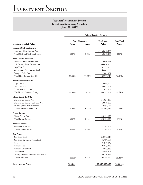|                                              | Defined Benefit - Pension |           |                    |               |  |
|----------------------------------------------|---------------------------|-----------|--------------------|---------------|--|
| Investments (at Fair Value)                  | <b>Asset Allocation</b>   |           | <b>Fair Market</b> | % of Total    |  |
|                                              | <b>Policy</b>             | Range     | <b>Value</b>       | <b>Assets</b> |  |
| <b>Cash and Cash Equivalents</b>             |                           |           |                    |               |  |
| Short-term Fixed Income Pool                 |                           |           | \$<br>60,640,155   |               |  |
| Total Cash and Cash Equivalents              | 2.00%                     | $0 - 7\%$ | 60,640,155         | 2.02%         |  |
| <b>Fixed Income Securities</b>               |                           |           |                    |               |  |
| Retirement Fixed Income Pool                 |                           |           | 3,636,271          |               |  |
| U.S. Treasury Fixed Income Pool              |                           |           | 305,056,250        |               |  |
| High Yield Pool                              |                           |           | 81,775,236         |               |  |
| International Fixed Income Pool              |                           |           | 69,401,860         |               |  |
| <b>Emerging Debt Pool</b>                    |                           |           | 22,883,401         |               |  |
| Total Fixed Income Securities                | 18.00%                    | 15-21%    | 482,753,018        | 16.06%        |  |
| <b>Broad Domestic Equity</b>                 |                           |           |                    |               |  |
| Large Cap Pool                               |                           |           | 710,644,227        |               |  |
| Small Cap Pool                               |                           |           | 159,081,923        |               |  |
| Convertible Bond Pool                        |                           |           | 21,071,702         |               |  |
| Total Broad Domestic Equity                  | 27.00%                    | 21-33%    | 890,797,852        | 29.64%        |  |
| Global Equity Ex-U.S.                        |                           |           |                    |               |  |
| <b>International Equity Pool</b>             |                           |           | 451,931,163        |               |  |
| International Equity Small Cap Pool          |                           |           | 40,018,509         |               |  |
| Emerging Markets Equity Pool                 |                           |           | 159,454,064        |               |  |
| Total Global Equity Ex-U.S.                  | 23.00%                    | 19-27%    | 651,403,736        | 21.67%        |  |
| <b>Private Equity</b>                        |                           |           |                    |               |  |
| Private Equity Pool                          |                           |           | 298,124,470        |               |  |
| Total Private Equity                         | 8.00%                     | $3 - 13%$ | 298,124,470        | 9.92%         |  |
| <b>Absolute Return</b>                       |                           |           |                    |               |  |
| Absolute Return Pool                         |                           |           | 127,548,546        |               |  |
| Total Absolute Return                        | 6.00%                     | $2 - 10%$ | 127,548,546        | 4.24%         |  |
| <b>Real Assets</b>                           |                           |           |                    |               |  |
| Real Estate Pool                             |                           |           | 240,716,214        |               |  |
| Real Estate Investment Trust Pool            |                           |           | 34,589,087         |               |  |
| <b>Energy Pool</b>                           |                           |           | 21,518,313         |               |  |
| Farmland Pool                                |                           |           | 103,823,140        |               |  |
| Farmland Water Pool                          |                           |           | 14,647,589         |               |  |
| Timber Pool                                  |                           |           | 42, 439, 121       |               |  |
| Treasury Inflation Protected Securities Pool |                           |           | 36,556,196         |               |  |
| Total Real Assets                            | 16.00%                    | 8-24%     | 494,289,660        | 16.45%        |  |
| <b>Total Invested Assets</b>                 | 100.00%                   |           | \$3,005,557,437    | 100.00%       |  |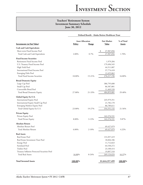|                                              | Defined Benefit - Alaska Retiree Healthcare Trust |           |                    |               |  |
|----------------------------------------------|---------------------------------------------------|-----------|--------------------|---------------|--|
|                                              | <b>Asset Allocation</b>                           |           | <b>Fair Market</b> | % of Total    |  |
| Investments (at Fair Value)                  | Policy                                            | Range     | <b>Value</b>       | <b>Assets</b> |  |
| <b>Cash and Cash Equivalents</b>             |                                                   |           |                    |               |  |
| Short-term Fixed Income Pool                 |                                                   |           | 27,907,856<br>\$   |               |  |
| Total Cash and Cash Equivalents              | 2.00%                                             | $0 - 7\%$ | 27,907,856         | 1.70%         |  |
| <b>Fixed Income Securities</b>               |                                                   |           |                    |               |  |
| Retirement Fixed Income Pool                 |                                                   |           | 1,979,284          |               |  |
| U.S. Treasury Fixed Income Pool              |                                                   |           | 179,496,545        |               |  |
| High Yield Pool                              |                                                   |           | 44,511,087         |               |  |
| <b>International Fixed Income Pool</b>       |                                                   |           | 37,774,418         |               |  |
| <b>Emerging Debt Pool</b>                    |                                                   |           | 12,455,862         |               |  |
| Total Fixed Income Securities                | 18.00%                                            | 15-21%    | 276, 217, 196      | 16.80%        |  |
| <b>Broad Domestic Equity</b>                 |                                                   |           |                    |               |  |
| Large Cap Pool                               |                                                   |           | 386,795,680        |               |  |
| Small Cap Pool                               |                                                   |           | 86,587,881         |               |  |
| Convertible Bond Pool                        |                                                   |           | 11,469,520         |               |  |
| Total Broad Domestic Equity                  | 27.00%                                            | 21-33%    | 484,853,081        | 29.48%        |  |
| Global Equity Ex-U.S.                        |                                                   |           |                    |               |  |
| <b>International Equity Pool</b>             |                                                   |           | 245,979,351        |               |  |
| International Equity Small Cap Pool          |                                                   |           | 21,782,170         |               |  |
| Emerging Markets Equity Pool                 |                                                   |           | 86,789,611         |               |  |
| Total Global Equity Ex-U.S.                  | 23.00%                                            | 19-27%    | 354,551,132        | 21.56%        |  |
| <b>Private Equity</b>                        |                                                   |           |                    |               |  |
| Private Equity Pool                          |                                                   |           | 162,276,531        |               |  |
| <b>Total Private Equity</b>                  | 8.00%                                             | $3 - 13%$ | 162,276,531        | 9.87%         |  |
| <b>Absolute Return</b>                       |                                                   |           |                    |               |  |
| Absolute Return Pool                         |                                                   |           | 69,427,079         |               |  |
| Total Absolute Return                        | 6.00%                                             | $2 - 10%$ | 69,427,079         | 4.22%         |  |
| <b>Real Assets</b>                           |                                                   |           |                    |               |  |
| Real Estate Pool                             |                                                   |           | 131,057,419        |               |  |
| Real Estate Investment Trust Pool            |                                                   |           | 18,826,186         |               |  |
| <b>Energy Pool</b>                           |                                                   |           | 11,712,823         |               |  |
| Farmland Pool                                |                                                   |           | 64,530,272         |               |  |
| Timber Pool                                  |                                                   |           | 23,100,414         |               |  |
| Treasury Inflation Protected Securities Pool |                                                   |           | 19,897,510         |               |  |
| <b>Total Real Assets</b>                     | 16.00%                                            | 8-24%     | 269,124,624        | 16.37%        |  |
| <b>Total Invested Assets</b>                 | 100.00%                                           |           | \$1,644,357,499    | 100.00%       |  |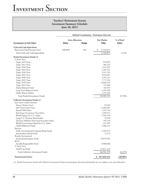|                                               | <b>Defined Contribution - Participant Directed</b> |              |                    |            |  |
|-----------------------------------------------|----------------------------------------------------|--------------|--------------------|------------|--|
|                                               | <b>Asset Allocation</b>                            |              | <b>Fair Market</b> | % of Total |  |
| <b>Investments (at Fair Value)</b>            | <b>Policy</b>                                      | <b>Range</b> | Value              | Assets     |  |
| <b>Cash and Cash Equivalents</b>              |                                                    |              |                    |            |  |
| Short-term Fixed Income Pool                  | 100.00%                                            | $0\%$        | \$<br>2,745,875    |            |  |
| Total Cash and Cash Equivalents               |                                                    |              | 2,745,875          | 2.55%      |  |
| Pooled Investment Funds (1)                   |                                                    |              |                    |            |  |
| T. Rowe Price                                 |                                                    |              |                    |            |  |
| Target 2010 Trust                             |                                                    |              | 378,992            |            |  |
| Target 2015 Trust                             |                                                    |              | 984,235            |            |  |
| Target 2020 Trust                             |                                                    |              | 1,914,932          |            |  |
| Target 2025 Trust                             |                                                    |              | 2,387,941          |            |  |
| Target 2030 Trust                             |                                                    |              | 2,312,763          |            |  |
| Target 2035 Trust                             |                                                    |              | 3,829,687          |            |  |
| Target 2040 Trust                             |                                                    |              | 4,352,413          |            |  |
| Target 2045 Trust                             |                                                    |              | 7,771,704          |            |  |
| Target 2050 Trust                             |                                                    |              | 10,040,332         |            |  |
| Target 2055 Trust                             |                                                    |              | 747,068            |            |  |
| Alaska Balanced Fund                          |                                                    |              | 160,593            |            |  |
| Long-Term Balanced Fund                       |                                                    |              | 2,353,348          |            |  |
| Alaska Money Market                           |                                                    |              | 1,355,184          |            |  |
| Total Pooled Investment Funds                 |                                                    |              | 38,589,192         | 35.78%     |  |
| <b>Collective Investment Funds (1)</b>        |                                                    |              |                    |            |  |
| <b>State Street Global Advisors</b>           |                                                    |              |                    |            |  |
| Money Market Fund                             |                                                    |              | 59,348             |            |  |
| S&P Stock Index Fund                          |                                                    |              | 11,869,485         |            |  |
| Russell 3000 Index                            |                                                    |              | 1,574,736          |            |  |
| Real Estate Investment Trust Index            |                                                    |              | 1,599,551          |            |  |
| World Equity Ex-U.S. Index                    |                                                    |              | 3,504,150          |            |  |
| Long U.S. Treasury Bond Index                 |                                                    |              | 52,018             |            |  |
| Treasury Inflation Protected Securities Index |                                                    |              | 393,128            |            |  |
| World Government Bond Ex-U.S. Index           |                                                    |              | 637,281            |            |  |
| Global Balanced Fund                          |                                                    |              | 3,386,319          |            |  |
| Barclays                                      |                                                    |              |                    |            |  |
| Daily Government/Corporate Bond Fund          |                                                    |              | 4,562,676          |            |  |
| Intermediate Bond Fund                        |                                                    |              | 74,134             |            |  |
| <b>Brandes Institutional</b>                  |                                                    |              |                    |            |  |
| <b>International Equity Fund</b>              |                                                    |              | 18,070,583         |            |  |
| <b>RCM</b>                                    |                                                    |              |                    |            |  |
| Socially Responsible Fund                     |                                                    |              | 4,900,846          |            |  |
| T. Rowe Price                                 |                                                    |              |                    |            |  |
| Small-Cap Fund                                |                                                    |              | 15,817,123         |            |  |
| Total Collective Investment Funds             |                                                    |              | 66,501,378         | 61.67%     |  |
| <b>Total Invested Assets</b>                  |                                                    |              | \$107,836,445      | 100.00%    |  |

(1) Pooled Investment Funds and Collective Investment Funds are participant directed and therefore are not subject to an asset allocation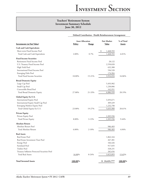|                                              |               | Defined Contribution - Health Reimbursement Arrangement |                 |               |  |  |
|----------------------------------------------|---------------|---------------------------------------------------------|-----------------|---------------|--|--|
| <b>Investments (at Fair Value)</b>           |               | <b>Asset Allocation</b>                                 |                 | % of Total    |  |  |
|                                              | <b>Policy</b> | Range                                                   | <b>Value</b>    | <b>Assets</b> |  |  |
| <b>Cash and Cash Equivalents</b>             |               |                                                         |                 |               |  |  |
| Short-term Fixed Income Pool                 |               |                                                         | 1,468,592<br>\$ |               |  |  |
| Total Cash and Cash Equivalents              | 2.00%         | $0 - 7\%$                                               | 1,468,592       | 6.01%         |  |  |
| <b>Fixed Income Securities</b>               |               |                                                         |                 |               |  |  |
| Retirement Fixed Income Pool                 |               |                                                         | 28,122          |               |  |  |
| U.S. Treasury Fixed Income Pool              |               |                                                         | 2,550,020       |               |  |  |
| High Yield Pool                              |               |                                                         | 632,388         |               |  |  |
| International Fixed Income Pool              |               |                                                         | 536,520         |               |  |  |
| <b>Emerging Debt Pool</b>                    |               |                                                         | 176,984         |               |  |  |
| Total Fixed Income Securities                | 18.00%        | 15-21%                                                  | 3,924,034       | 16.06%        |  |  |
| <b>Broad Domestic Equity</b>                 |               |                                                         |                 |               |  |  |
| Large Cap Pool                               |               |                                                         | 5,493,982       |               |  |  |
| Small Cap Pool                               |               |                                                         | 1,230,006       |               |  |  |
| Convertible Bond Pool                        |               |                                                         | 162,951         |               |  |  |
| <b>Total Broad Domestic Equity</b>           | 27.00%        | 21-33%                                                  | 6,886,939       | 28.19%        |  |  |
| Global Equity Ex-U.S.                        |               |                                                         |                 |               |  |  |
| <b>International Equity Pool</b>             |               |                                                         | 3,493,671       |               |  |  |
| International Equity Small Cap Pool          |               |                                                         | 309,439         |               |  |  |
| Emerging Markets Equity Pool                 |               |                                                         | 1,232,790       |               |  |  |
| Total Global Equity Ex-U.S.                  | 23.00%        | 19-27%                                                  | 5,035,900       | 20.61%        |  |  |
| <b>Private Equity</b>                        |               |                                                         |                 |               |  |  |
| Private Equity Pool                          |               |                                                         | 2,305,936       |               |  |  |
| <b>Total Private Equity</b>                  | 8.00%         | $3 - 13%$                                               | 2,305,936       | 9.44%         |  |  |
| <b>Absolute Return</b>                       |               |                                                         |                 |               |  |  |
| Absolute Return Pool                         |               |                                                         | 986,483         |               |  |  |
| Total Absolute Return                        | 6.00%         | $2 - 10%$                                               | 986,483         | 4.04%         |  |  |
| <b>Real Assets</b>                           |               |                                                         |                 |               |  |  |
| Real Estate Pool                             |               |                                                         | 1,862,164       |               |  |  |
| Real Estate Investment Trust Pool            |               |                                                         | 267,381         |               |  |  |
| <b>Energy Pool</b>                           |               |                                                         | 166,426         |               |  |  |
| Farmland Pool                                |               |                                                         | 917,035         |               |  |  |
| Timber Pool                                  |               |                                                         | 328,231         |               |  |  |
| Treasury Inflation Protected Securities Pool |               |                                                         | 282,656         |               |  |  |
| <b>Total Real Assets</b>                     | 16.00%        | 8-24%                                                   | 3,823,893       | 15.65%        |  |  |
| <b>Total Invested Assets</b>                 | 100.00%       |                                                         | \$24,431,777    | 100.00%       |  |  |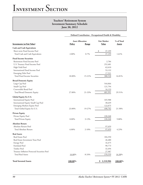|                                              | Defined Contribution - Occupational Dealth & Disability |           |                    |               |
|----------------------------------------------|---------------------------------------------------------|-----------|--------------------|---------------|
|                                              | <b>Asset Allocation</b>                                 |           | <b>Fair Market</b> | % of Total    |
| <b>Investments (at Fair Value)</b>           | Policy                                                  | Range     | <b>Value</b>       | <b>Assets</b> |
| <b>Cash and Cash Equivalents</b>             |                                                         |           |                    |               |
| Short-term Fixed Income Pool                 |                                                         |           | \$<br>37,199       |               |
| Total Cash and Cash Equivalents              | 2.00%                                                   | $0 - 7\%$ | 37,199             | 1.61%         |
| <b>Fixed Income Securities</b>               |                                                         |           |                    |               |
| Retirement Fixed Income Pool                 |                                                         |           | 2,784              |               |
| U.S. Treasury Fixed Income Pool              |                                                         |           | 252,481            |               |
| High Yield Pool                              |                                                         |           | 62,610             |               |
| <b>International Fixed Income Pool</b>       |                                                         |           | 53,132             |               |
| <b>Emerging Debt Pool</b>                    |                                                         |           | 17,521             |               |
| Total Fixed Income Securities                | 18.00%                                                  | 15-21%    | 388,528            | 16.81%        |
| <b>Broad Domestic Equity</b>                 |                                                         |           |                    |               |
| Large Cap Pool                               |                                                         |           | 544,064            |               |
| Small Cap Pool                               |                                                         |           | 121,794            |               |
| Convertible Bond Pool                        |                                                         |           | 16,133             |               |
| Total Broad Domestic Equity                  | 27.00%                                                  | 21-33%    | 681,991            | 29.51%        |
| Global Equity Ex-U.S.                        |                                                         |           |                    |               |
| <b>International Equity Pool</b>             |                                                         |           | 345,988            |               |
| International Equity Small Cap Pool          |                                                         |           | 30,639             |               |
| Emerging Markets Equity Pool                 |                                                         |           | 122,075            |               |
| Total Global Equity Ex-U.S.                  | 23.00%                                                  | 19-27%    | 498,702            | 21.58%        |
| <b>Private Equity</b>                        |                                                         |           |                    |               |
| Private Equity Pool                          |                                                         |           | 228,268            |               |
| <b>Total Private Equity</b>                  | 8.00%                                                   | $3 - 13%$ | 228,268            | 9.88%         |
| <b>Absolute Return</b>                       |                                                         |           |                    |               |
| Absolute Return Pool                         |                                                         |           | 97,659             |               |
| Total Absolute Return                        | 6.00%                                                   | $2 - 10%$ | 97,659             | 4.23%         |
| <b>Real Assets</b>                           |                                                         |           |                    |               |
| Real Estate Pool                             |                                                         |           | 184,350            |               |
| Real Estate Investment Trust Pool            |                                                         |           | 26,480             |               |
| <b>Energy Pool</b>                           |                                                         |           | 16,475             |               |
| Farmland Pool                                |                                                         |           | 90,773             |               |
| Timber Pool                                  |                                                         |           | 32,494             |               |
| Treasury Inflation Protected Securities Pool |                                                         |           | 27,987             |               |
| <b>Total Real Assets</b>                     | 16.00%                                                  | 8-24%     | 378,559            | 16.38%        |
| <b>Total Invested Assets</b>                 | 100.00%                                                 |           | \$2,310,906        | 100.00%       |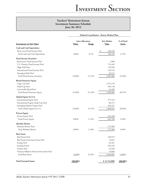| <b>Investments (at Fair Value)</b>           | Defined Contribution - Retiree Medical Plan |           |                    |               |
|----------------------------------------------|---------------------------------------------|-----------|--------------------|---------------|
|                                              | <b>Asset Allocation</b>                     |           | <b>Fair Market</b> | % of Total    |
|                                              | Policy                                      | Range     | <b>Value</b>       | <b>Assets</b> |
| <b>Cash and Cash Equivalents</b>             |                                             |           |                    |               |
| Short-term Fixed Income Pool                 |                                             |           | 320,130<br>\$      |               |
| Total Cash and Cash Equivalents              | 2.00%                                       | $0 - 7\%$ | 320,130            | 4.75%         |
| <b>Fixed Income Securities</b>               |                                             |           |                    |               |
| Retirement Fixed Income Pool                 |                                             |           | 7,868              |               |
| U.S. Treasury Fixed Income Pool              |                                             |           | 713,442            |               |
| High Yield Pool                              |                                             |           | 176,926            |               |
| International Fixed Income Pool              |                                             |           | 150,116            |               |
| <b>Emerging Debt Pool</b>                    |                                             |           | 49,514             |               |
| Total Fixed Income Securities                | 18.00%                                      | 15-21%    | 1,097,866          | 16.28%        |
| <b>Broad Domestic Equity</b>                 |                                             |           |                    |               |
| Large Cap Pool                               |                                             |           | 1,537,178          |               |
| Small Cap Pool                               |                                             |           | 344,138            |               |
| Convertible Bond Pool                        |                                             |           | 45,589             |               |
| Total Broad Domestic Equity                  | 27.00%                                      | 21-33%    | 1,926,905          | 28.57%        |
| Global Equity Ex-U.S.                        |                                             |           |                    |               |
| <b>International Equity Pool</b>             |                                             |           | 977,516            |               |
| International Equity Small Cap Pool          |                                             |           | 86,575             |               |
| Emerging Markets Equity Pool                 |                                             |           | 344,921            |               |
| Total Global Equity Ex-U.S.                  | 23.00%                                      | 19-27%    | 1,409,012          | 20.89%        |
| <b>Private Equity</b>                        |                                             |           |                    |               |
| Private Equity Pool                          |                                             |           | 645,108            |               |
| <b>Total Private Equity</b>                  | 8.00%                                       | $3 - 13%$ | 645,108            | 9.56%         |
| <b>Absolute Return</b>                       |                                             |           |                    |               |
| Absolute Return Pool                         |                                             |           | 275,984            |               |
| Total Absolute Return                        | 6.00%                                       | $2 - 10%$ | 275,984            | 4.09%         |
| <b>Real Assets</b>                           |                                             |           |                    |               |
| Real Estate Pool                             |                                             |           | 520,972            |               |
| Real Estate Investment Trust Pool            |                                             |           | 74,812             |               |
| <b>Energy Pool</b>                           |                                             |           | 46,561             |               |
| Farmland Pool                                |                                             |           | 256,545            |               |
| Timber Pool                                  |                                             |           | 91,828             |               |
| Treasury Inflation Protected Securities Pool |                                             |           | 79,083             |               |
| <b>Total Real Assets</b>                     | 16.00%                                      | 8-24%     | 1,069,801          | 15.86%        |
| <b>Total Invested Assets</b>                 | 100.00%                                     |           | \$6,744,806        | 100.00%       |